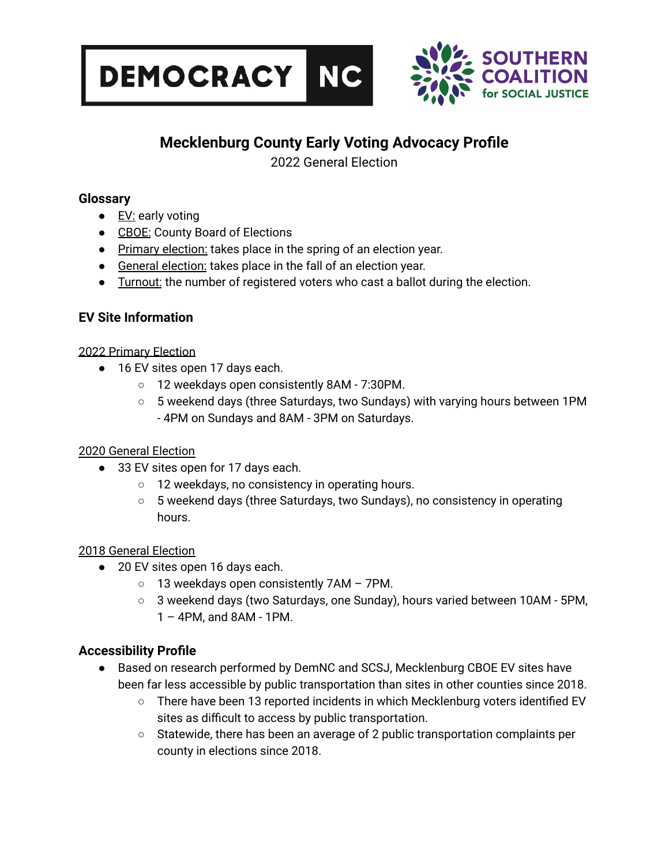



### **Mecklenburg County Early Voting Advocacy Profile**

2022 General Election

#### **Glossary**

- $\bullet$  EV: early voting
- CBOE: County Board of Elections
- Primary election: takes place in the spring of an election year.
- General election: takes place in the fall of an election year.
- Turnout: the number of registered voters who cast a ballot during the election.

#### **EV Site Information**

#### 2022 Primary Election

- 16 EV sites open 17 days each.
	- 12 weekdays open consistently 8AM 7:30PM.
	- 5 weekend days (three Saturdays, two Sundays) with varying hours between 1PM - 4PM on Sundays and 8AM - 3PM on Saturdays.

#### 2020 General Election

- 33 EV sites open for 17 days each.
	- 12 weekdays, no consistency in operating hours.
	- 5 weekend days (three Saturdays, two Sundays), no consistency in operating hours.

#### 2018 General Election

- 20 EV sites open 16 days each.
	- $\circ$  13 weekdays open consistently 7AM 7PM.
	- 3 weekend days (two Saturdays, one Sunday), hours varied between 10AM 5PM, 1 – 4PM, and 8AM - 1PM.

#### **Accessibility Profile**

- Based on research performed by DemNC and SCSJ, Mecklenburg CBOE EV sites have been far less accessible by public transportation than sites in other counties since 2018.
	- There have been 13 reported incidents in which Mecklenburg voters identified EV sites as difficult to access by public transportation.
	- $\circ$  Statewide, there has been an average of 2 public transportation complaints per county in elections since 2018.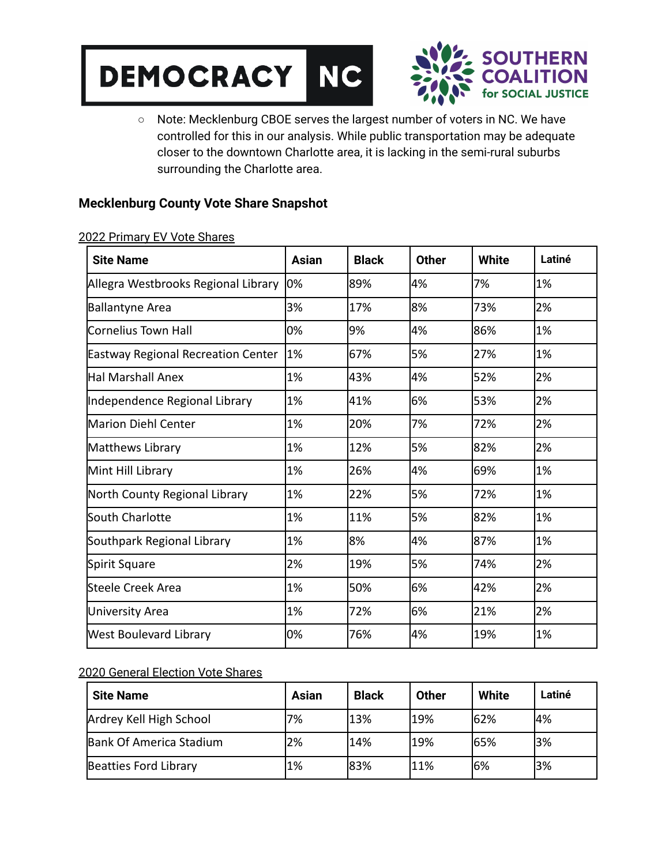



○ Note: Mecklenburg CBOE serves the largest number of voters in NC. We have controlled for this in our analysis. While public transportation may be adequate closer to the downtown Charlotte area, it is lacking in the semi-rural suburbs surrounding the Charlotte area.

#### **Mecklenburg County Vote Share Snapshot**

| <b>Site Name</b>                          | <b>Asian</b> | <b>Black</b> | <b>Other</b> | <b>White</b> | Latiné |
|-------------------------------------------|--------------|--------------|--------------|--------------|--------|
| Allegra Westbrooks Regional Library       | 0%           | 89%          | 4%           | 7%           | 1%     |
| <b>Ballantyne Area</b>                    | 3%           | 17%          | 8%           | 73%          | 2%     |
| Cornelius Town Hall                       | 0%           | 9%           | 4%           | 86%          | 1%     |
| <b>Eastway Regional Recreation Center</b> | 1%           | 67%          | 5%           | 27%          | 1%     |
| Hal Marshall Anex                         | 1%           | 43%          | 4%           | 52%          | 2%     |
| Independence Regional Library             | 1%           | 41%          | 6%           | 53%          | 2%     |
| <b>Marion Diehl Center</b>                | 1%           | 20%          | 7%           | 72%          | 2%     |
| Matthews Library                          | 1%           | 12%          | 5%           | 82%          | 2%     |
| Mint Hill Library                         | 1%           | 26%          | 4%           | 69%          | 1%     |
| North County Regional Library             | 1%           | 22%          | 5%           | 72%          | 1%     |
| South Charlotte                           | 1%           | 11%          | 5%           | 82%          | 1%     |
| Southpark Regional Library                | 1%           | 8%           | 4%           | 87%          | 1%     |
| Spirit Square                             | 2%           | 19%          | 5%           | 74%          | 2%     |
| lSteele Creek Area                        | 1%           | 50%          | 6%           | 42%          | 2%     |
| University Area                           | 1%           | 72%          | 6%           | 21%          | 2%     |
| <b>West Boulevard Library</b>             | 0%           | 76%          | 4%           | 19%          | 1%     |

2022 Primary EV Vote Shares

#### 2020 General Election Vote Shares

| <b>Site Name</b>        | <b>Asian</b> | <b>Black</b> | <b>Other</b> | <b>White</b> | Latiné |
|-------------------------|--------------|--------------|--------------|--------------|--------|
| Ardrey Kell High School | 7%           | 13%          | 19%          | 62%          | 4%     |
| Bank Of America Stadium | 2%           | 14%          | 19%          | 65%          | 3%     |
| Beatties Ford Library   | 1%           | l83%         | 11%          | 16%          | 3%     |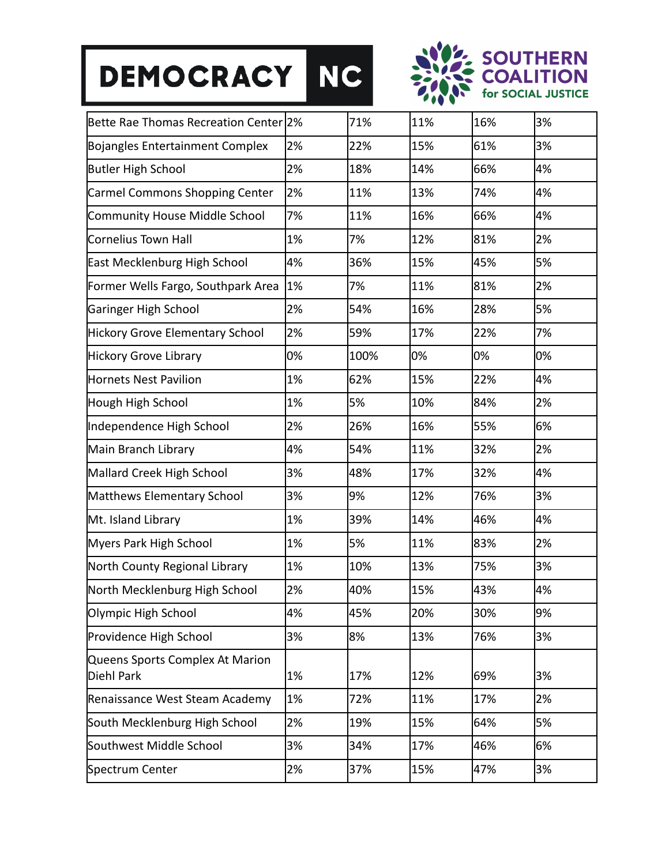# DEMOCRACY NC



| Bette Rae Thomas Recreation Center 2%         |    | 71%  | 11% | 16% | 3% |
|-----------------------------------------------|----|------|-----|-----|----|
| <b>Bojangles Entertainment Complex</b>        | 2% | 22%  | 15% | 61% | 3% |
| <b>Butler High School</b>                     | 2% | 18%  | 14% | 66% | 4% |
| Carmel Commons Shopping Center                | 2% | 11%  | 13% | 74% | 4% |
| Community House Middle School                 | 7% | 11%  | 16% | 66% | 4% |
| Cornelius Town Hall                           | 1% | 7%   | 12% | 81% | 2% |
| <b>East Mecklenburg High School</b>           | 4% | 36%  | 15% | 45% | 5% |
| Former Wells Fargo, Southpark Area            | 1% | 7%   | 11% | 81% | 2% |
| Garinger High School                          | 2% | 54%  | 16% | 28% | 5% |
| <b>Hickory Grove Elementary School</b>        | 2% | 59%  | 17% | 22% | 7% |
| <b>Hickory Grove Library</b>                  | 0% | 100% | 0%  | 0%  | 0% |
| <b>Hornets Nest Pavilion</b>                  | 1% | 62%  | 15% | 22% | 4% |
| Hough High School                             | 1% | 5%   | 10% | 84% | 2% |
| Independence High School                      | 2% | 26%  | 16% | 55% | 6% |
| Main Branch Library                           | 4% | 54%  | 11% | 32% | 2% |
| Mallard Creek High School                     | 3% | 48%  | 17% | 32% | 4% |
| Matthews Elementary School                    | 3% | 9%   | 12% | 76% | 3% |
| Mt. Island Library                            | 1% | 39%  | 14% | 46% | 4% |
| Myers Park High School                        | 1% | 5%   | 11% | 83% | 2% |
| North County Regional Library                 | 1% | 10%  | 13% | 75% | 3% |
| North Mecklenburg High School                 | 2% | 40%  | 15% | 43% | 4% |
| Olympic High School                           | 4% | 45%  | 20% | 30% | 9% |
| Providence High School                        | 3% | 8%   | 13% | 76% | 3% |
| Queens Sports Complex At Marion<br>Diehl Park | 1% | 17%  | 12% | 69% | 3% |
| Renaissance West Steam Academy                | 1% | 72%  | 11% | 17% | 2% |
| South Mecklenburg High School                 | 2% | 19%  | 15% | 64% | 5% |
| Southwest Middle School                       | 3% | 34%  | 17% | 46% | 6% |
| Spectrum Center                               | 2% | 37%  | 15% | 47% | 3% |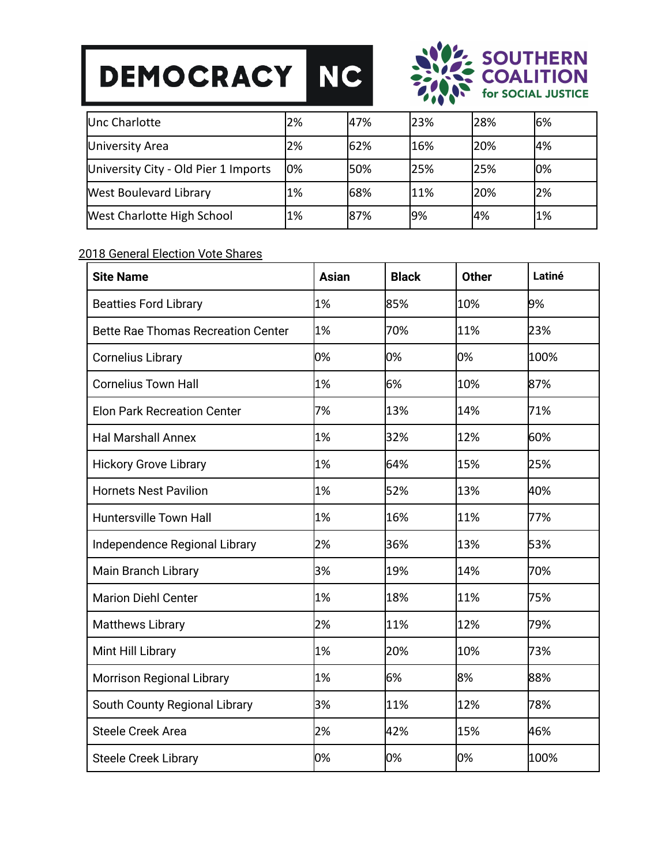## DEMOCRACY NC



| Unc Charlotte                        | 2% | 47%  | 23% | l28% | 6%  |
|--------------------------------------|----|------|-----|------|-----|
| University Area                      | 2% | 62%  | 16% | 20%  | 4%  |
| University City - Old Pier 1 Imports | 0% | l50% | 25% | 25%  | 10% |
| <b>West Boulevard Library</b>        | 1% | 68%  | 11% | 20%  | 2%  |
| <b>West Charlotte High School</b>    | 1% | 87%  | 9%  | 4%   | 1%  |

#### 2018 General Election Vote Shares

| <b>Site Name</b>                          | Asian | <b>Black</b> | <b>Other</b> | Latiné |
|-------------------------------------------|-------|--------------|--------------|--------|
| <b>Beatties Ford Library</b>              | 1%    | 85%          | 10%          | 9%     |
| <b>Bette Rae Thomas Recreation Center</b> | 1%    | 70%          | 11%          | 23%    |
| <b>Cornelius Library</b>                  | 0%    | 0%           | 0%           | 100%   |
| <b>Cornelius Town Hall</b>                | 1%    | 6%           | 10%          | 87%    |
| <b>Elon Park Recreation Center</b>        | 7%    | 13%          | 14%          | 71%    |
| <b>Hal Marshall Annex</b>                 | 1%    | 32%          | 12%          | 60%    |
| <b>Hickory Grove Library</b>              | 1%    | 64%          | 15%          | 25%    |
| <b>Hornets Nest Pavilion</b>              | 1%    | 52%          | 13%          | 40%    |
| <b>Huntersville Town Hall</b>             | 1%    | 16%          | 11%          | 77%    |
| Independence Regional Library             | 2%    | 36%          | 13%          | 53%    |
| Main Branch Library                       | 3%    | 19%          | 14%          | 70%    |
| <b>Marion Diehl Center</b>                | 1%    | 18%          | 11%          | 75%    |
| <b>Matthews Library</b>                   | 2%    | 11%          | 12%          | 79%    |
| Mint Hill Library                         | 1%    | 20%          | 10%          | 73%    |
| <b>Morrison Regional Library</b>          | 1%    | 6%           | 8%           | 88%    |
| South County Regional Library             | 3%    | 11%          | 12%          | 78%    |
| <b>Steele Creek Area</b>                  | 2%    | 42%          | 15%          | 46%    |
| <b>Steele Creek Library</b>               | 0%    | 0%           | 0%           | 100%   |